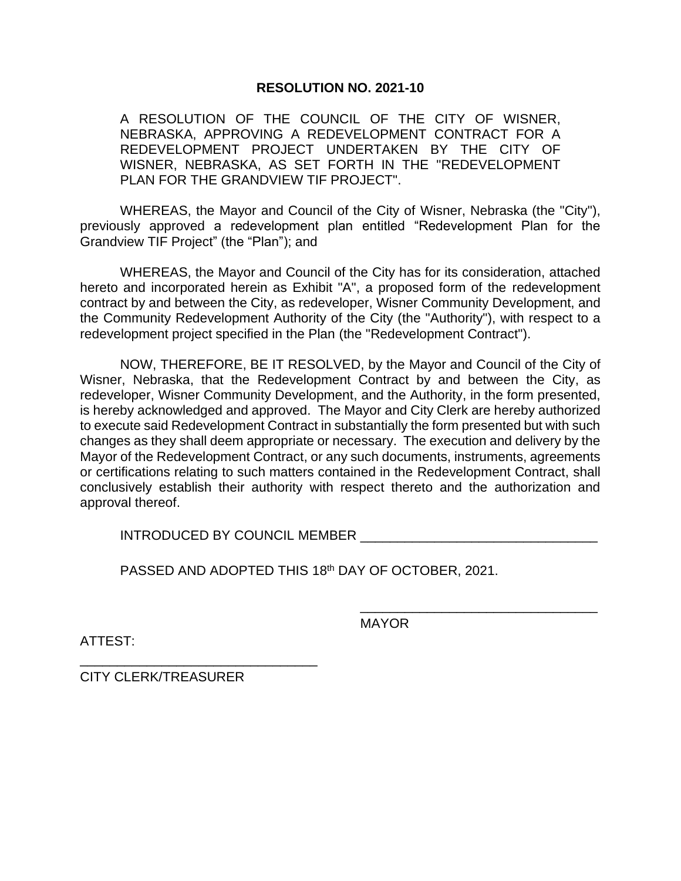## **RESOLUTION NO. 2021-10**

A RESOLUTION OF THE COUNCIL OF THE CITY OF WISNER, NEBRASKA, APPROVING A REDEVELOPMENT CONTRACT FOR A REDEVELOPMENT PROJECT UNDERTAKEN BY THE CITY OF WISNER, NEBRASKA, AS SET FORTH IN THE "REDEVELOPMENT PLAN FOR THE GRANDVIEW TIF PROJECT".

WHEREAS, the Mayor and Council of the City of Wisner, Nebraska (the "City"), previously approved a redevelopment plan entitled "Redevelopment Plan for the Grandview TIF Project" (the "Plan"); and

WHEREAS, the Mayor and Council of the City has for its consideration, attached hereto and incorporated herein as Exhibit "A", a proposed form of the redevelopment contract by and between the City, as redeveloper, Wisner Community Development, and the Community Redevelopment Authority of the City (the "Authority"), with respect to a redevelopment project specified in the Plan (the "Redevelopment Contract").

NOW, THEREFORE, BE IT RESOLVED, by the Mayor and Council of the City of Wisner, Nebraska, that the Redevelopment Contract by and between the City, as redeveloper, Wisner Community Development, and the Authority, in the form presented, is hereby acknowledged and approved. The Mayor and City Clerk are hereby authorized to execute said Redevelopment Contract in substantially the form presented but with such changes as they shall deem appropriate or necessary. The execution and delivery by the Mayor of the Redevelopment Contract, or any such documents, instruments, agreements or certifications relating to such matters contained in the Redevelopment Contract, shall conclusively establish their authority with respect thereto and the authorization and approval thereof.

INTRODUCED BY COUNCIL MEMBER

PASSED AND ADOPTED THIS 18th DAY OF OCTOBER, 2021.

ATTEST:

MAYOR

\_\_\_\_\_\_\_\_\_\_\_\_\_\_\_\_\_\_\_\_\_\_\_\_\_\_\_\_\_\_\_\_

CITY CLERK/TREASURER

\_\_\_\_\_\_\_\_\_\_\_\_\_\_\_\_\_\_\_\_\_\_\_\_\_\_\_\_\_\_\_\_